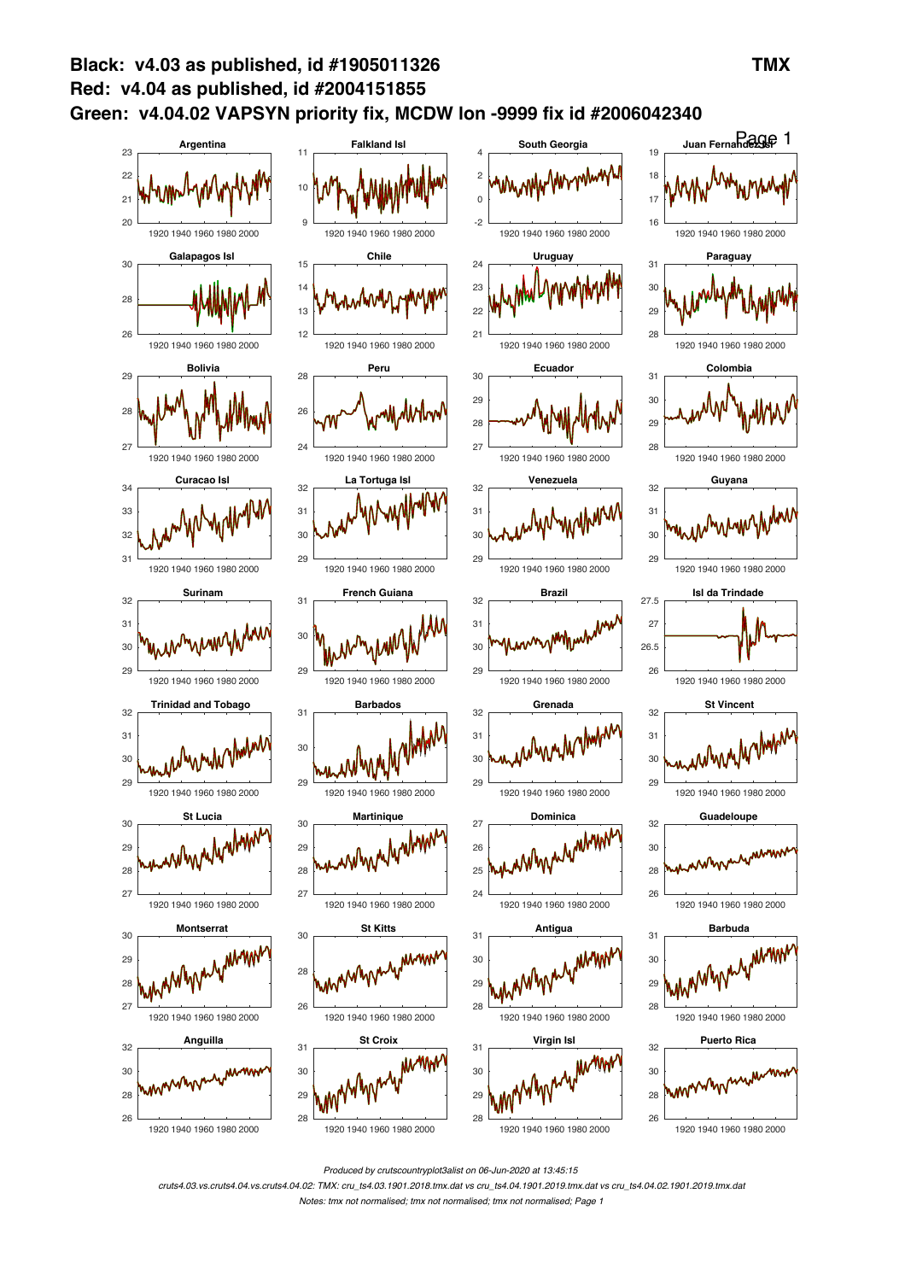

*Produced by crutscountryplot3alist on 06-Jun-2020 at 13:45:15*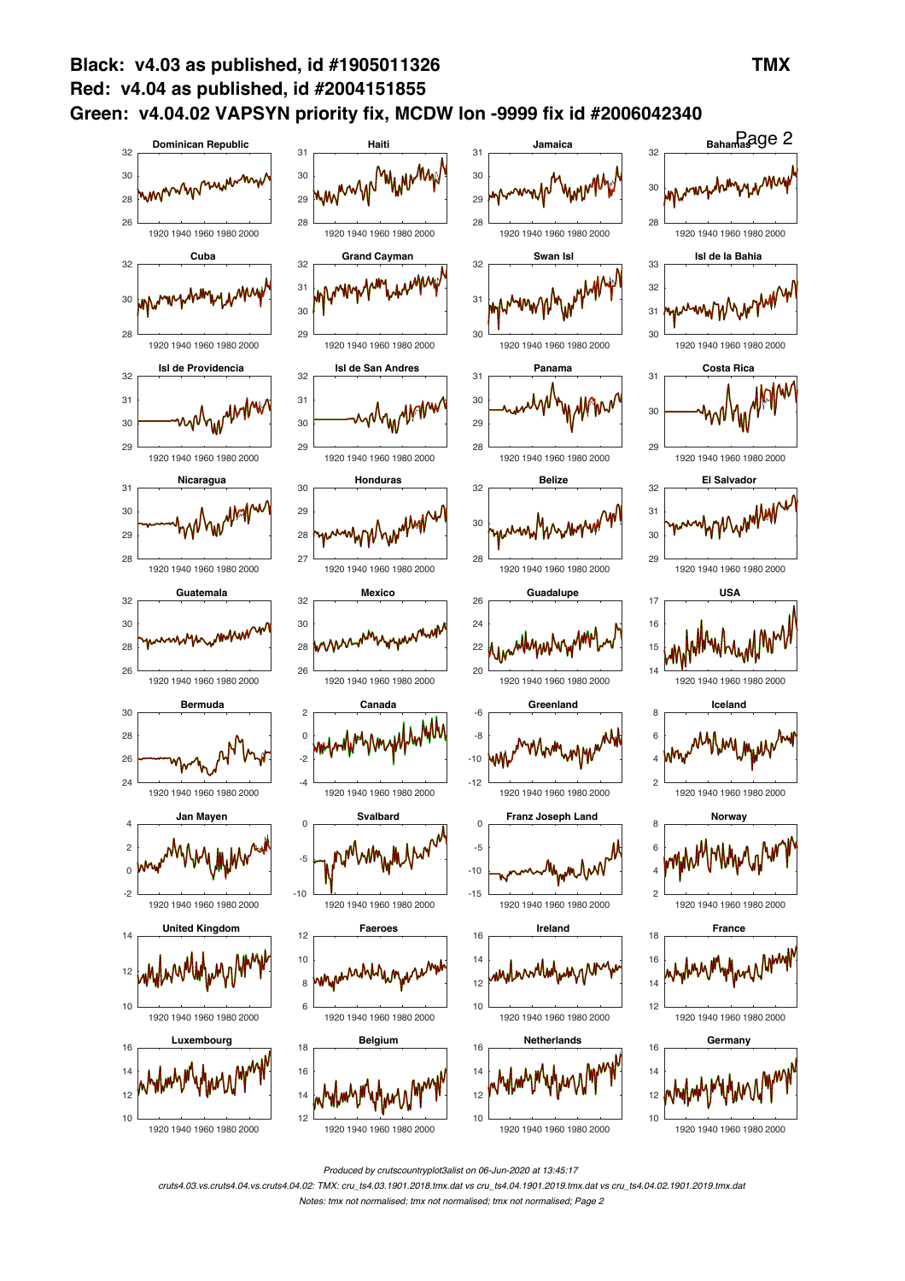

*Produced by crutscountryplot3alist on 06-Jun-2020 at 13:45:17*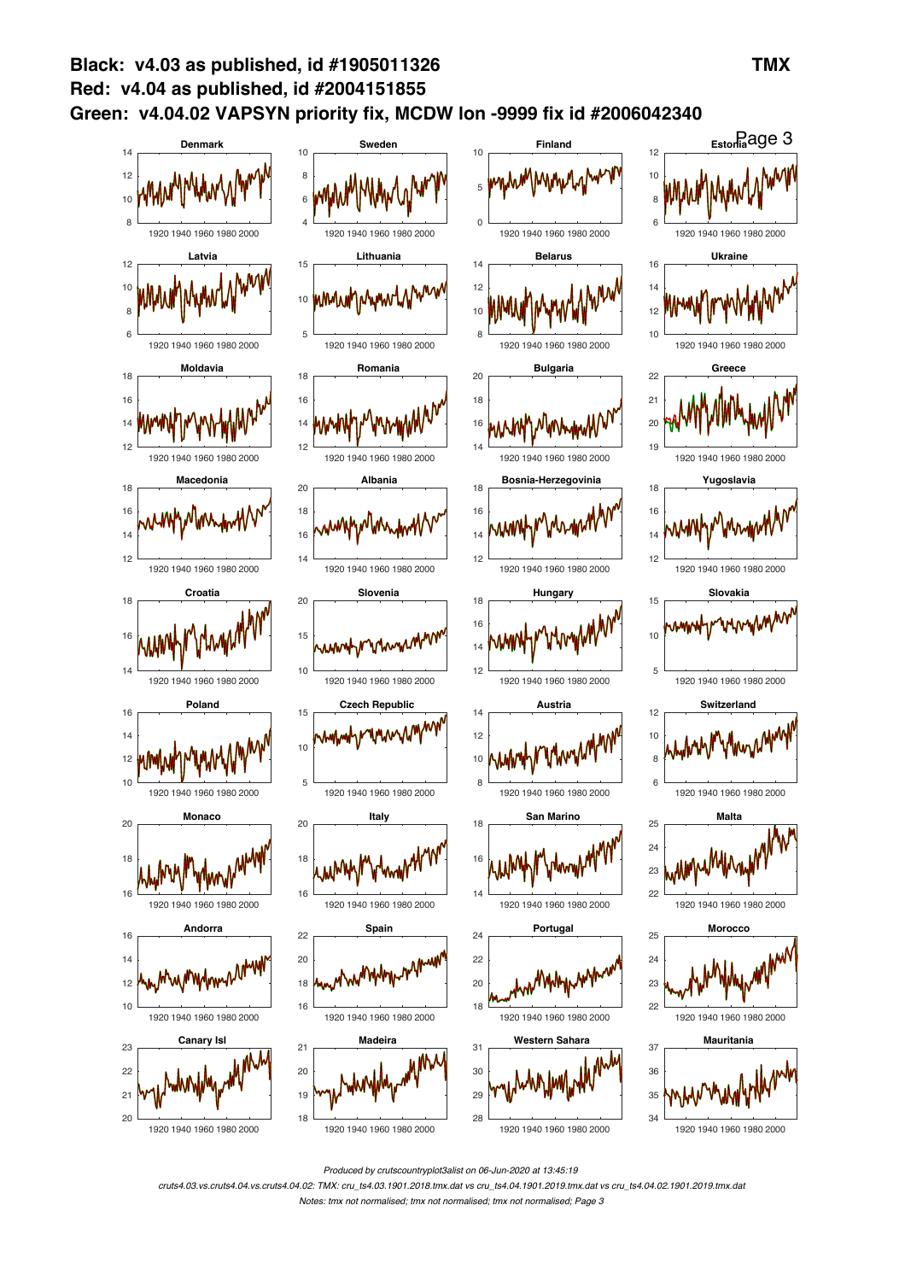

*Produced by crutscountryplot3alist on 06-Jun-2020 at 13:45:19*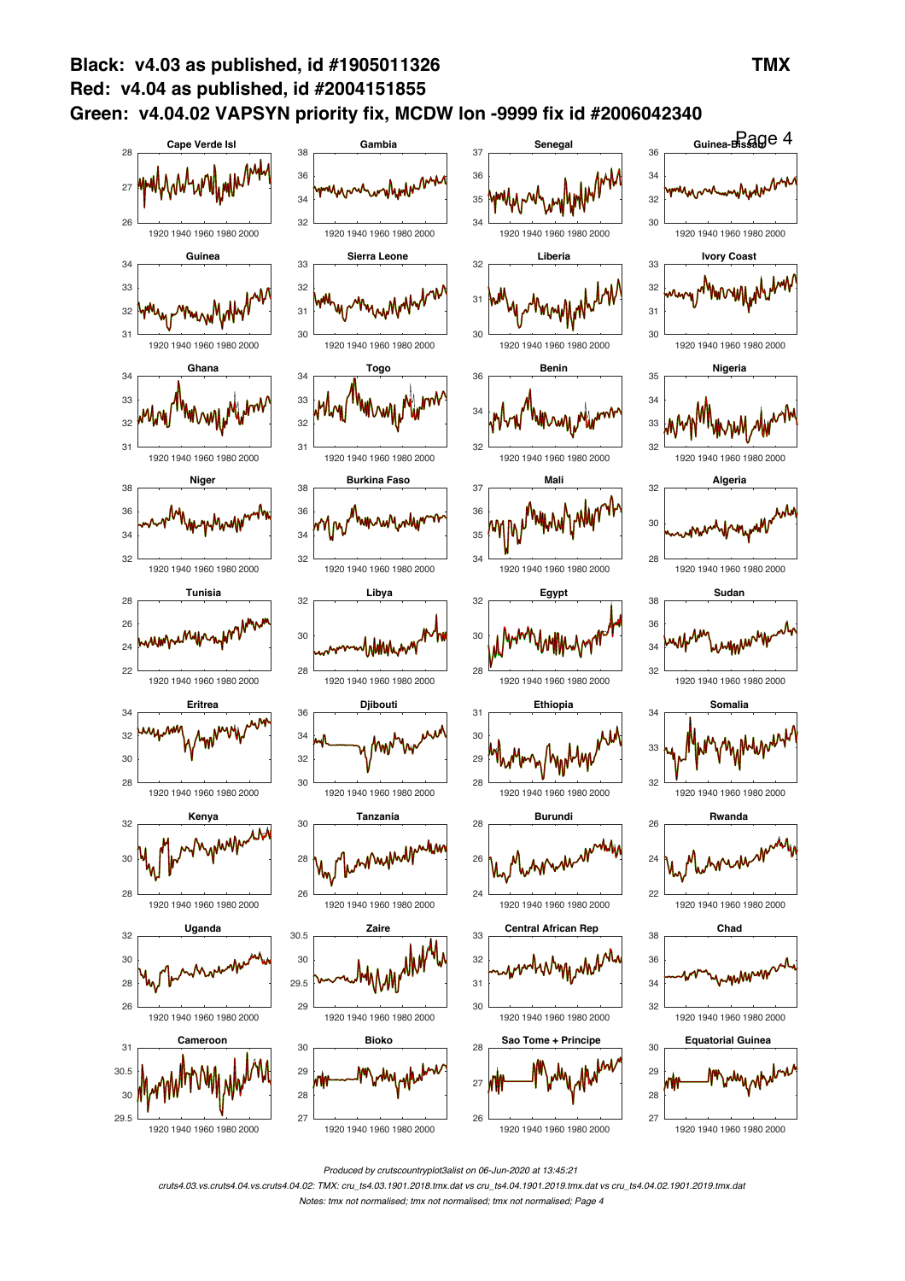

*Produced by crutscountryplot3alist on 06-Jun-2020 at 13:45:21*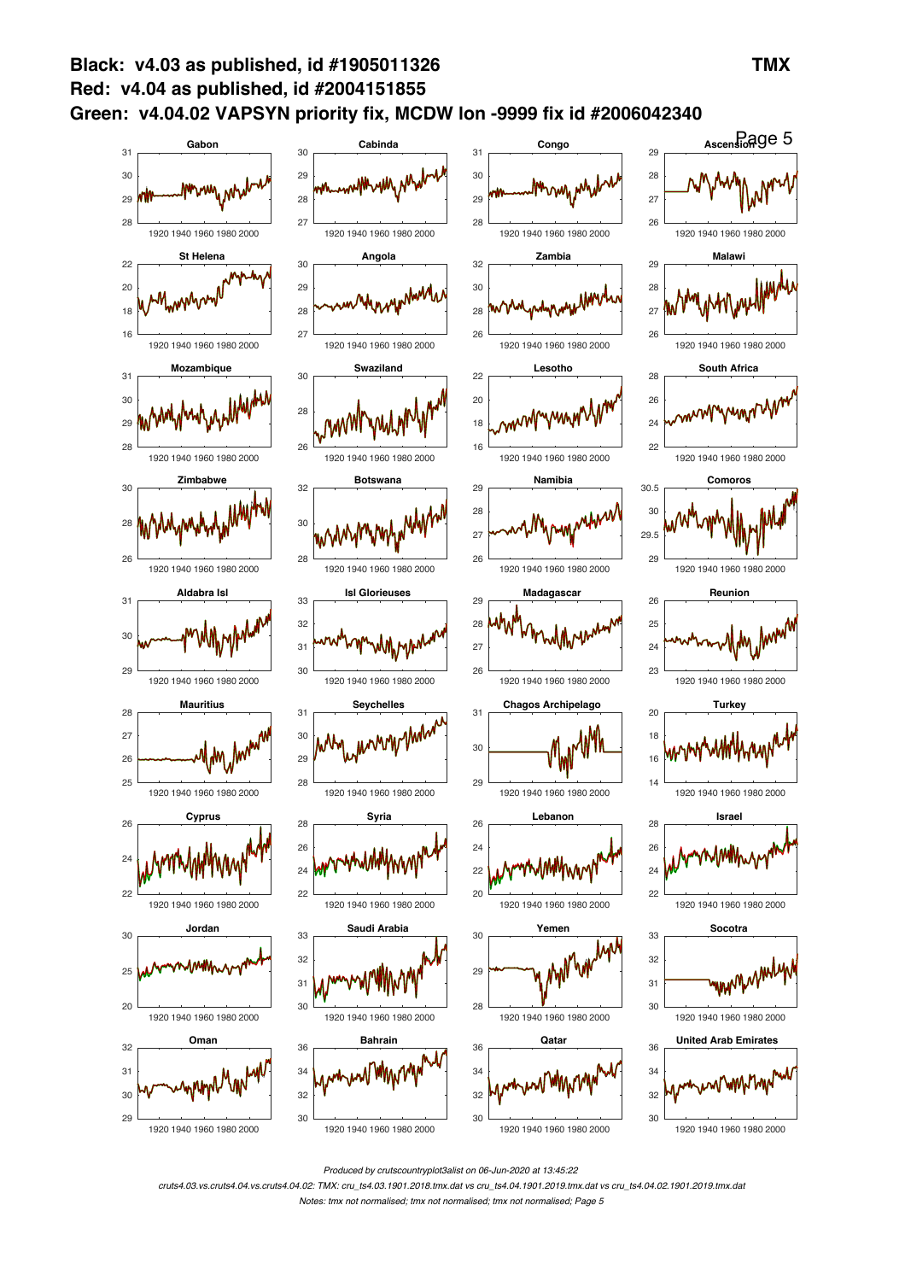

*Produced by crutscountryplot3alist on 06-Jun-2020 at 13:45:22*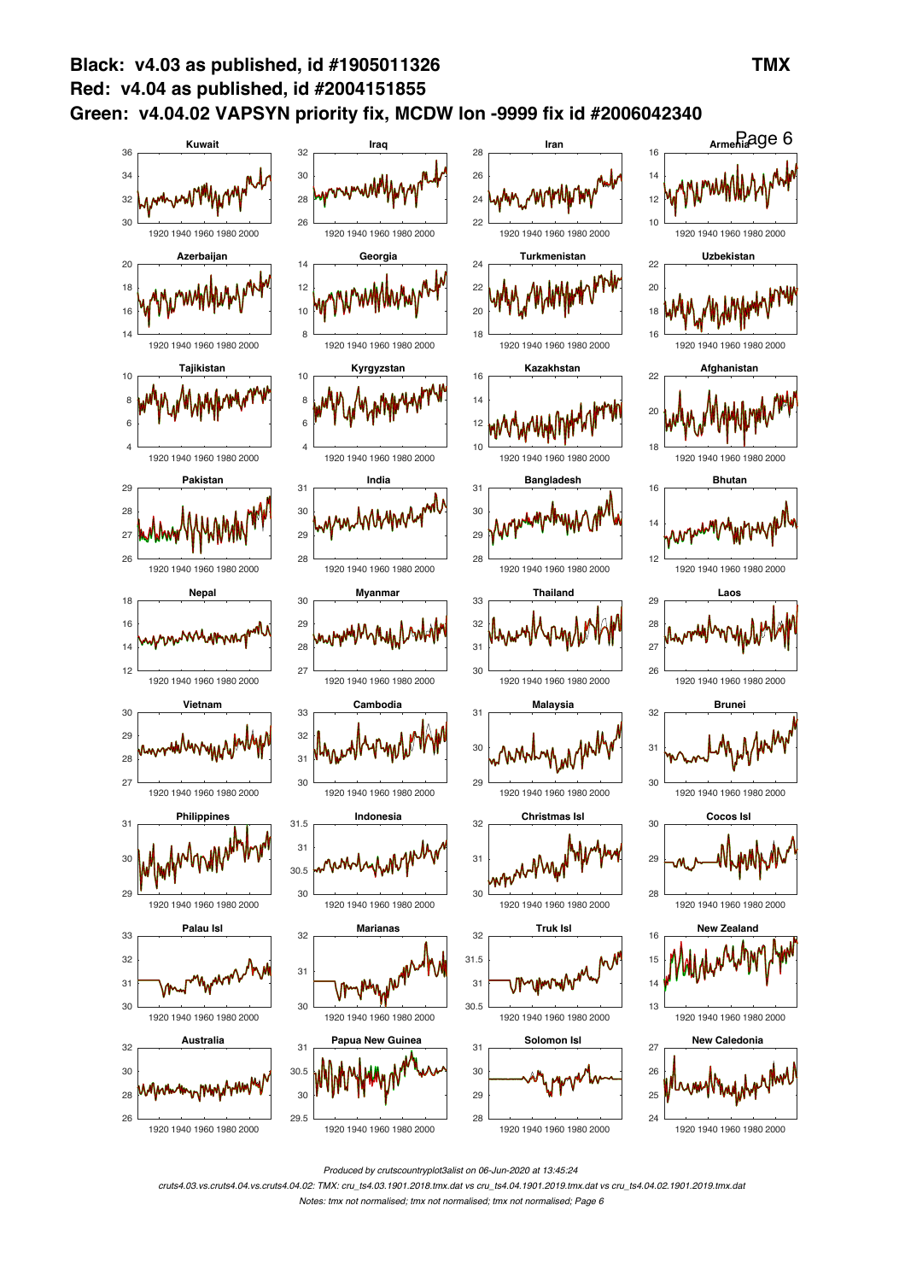

*Produced by crutscountryplot3alist on 06-Jun-2020 at 13:45:24*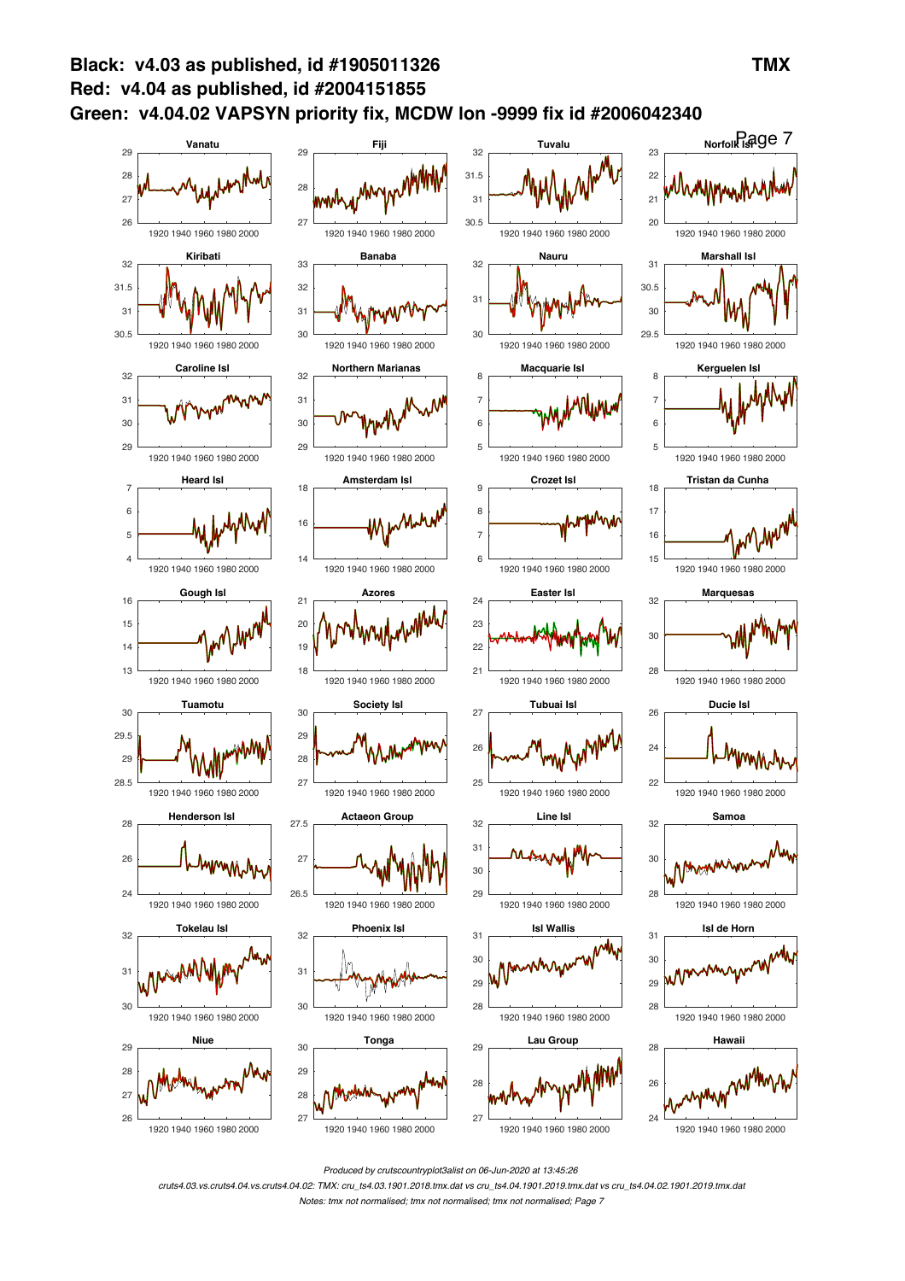

*Produced by crutscountryplot3alist on 06-Jun-2020 at 13:45:26*